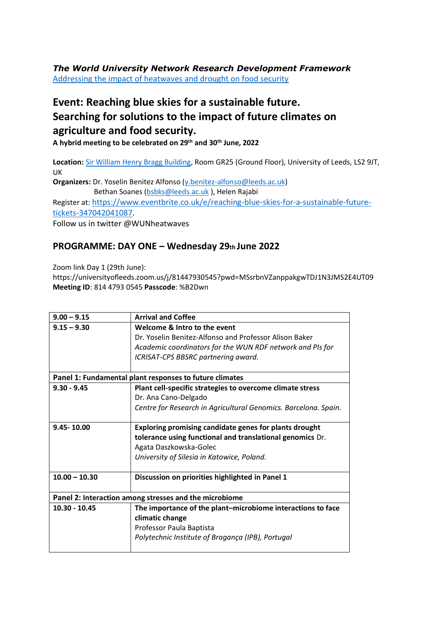*The World University Network Research Development Framework*  [Addressing the impact of heatwaves and drought on food security](https://wun.ac.uk/wun/research/view/addressing-the-impact-of-heatwaves-and-drought-on-food-security/)

## **Event: Reaching blue skies for a sustainable future. Searching for solutions to the impact of future climates on agriculture and food security.**

**A hybrid meeting to be celebrated on 29th and 30th June, 2022** 

**Location:** [Sir William Henry Bragg Building,](http://www.leeds.ac.uk/campusmap?location=17545) Room GR25 (Ground Floor), University of Leeds, LS2 9JT, UK

**Organizers:** Dr. Yoselin Benitez Alfonso [\(y.benitez-alfonso@leeds.ac.uk\)](mailto:y.benitez-alfonso@leeds.ac.uk) Bethan Soanes [\(bsbks@leeds.ac.uk](mailto:bsbks@leeds.ac.uk) ), Helen Rajabi Register at: [https://www.eventbrite.co.uk/e/reaching-blue-skies-for-a-sustainable-future](https://www.eventbrite.co.uk/e/reaching-blue-skies-for-a-sustainable-future-tickets-347042041087)[tickets-347042041087.](https://www.eventbrite.co.uk/e/reaching-blue-skies-for-a-sustainable-future-tickets-347042041087) Follow us in twitter @WUNheatwaves

## **PROGRAMME: DAY ONE – Wednesday 29th June 2022**

Zoom link Day 1 (29th June): https://universityofleeds.zoom.us/j/81447930545?pwd=MSsrbnVZanppakgwTDJ1N3JMS2E4UT09 **Meeting ID**: 814 4793 0545 **Passcode**: %B2Dwn

| $9.00 - 9.15$                                           | <b>Arrival and Coffee</b>                                       |  |
|---------------------------------------------------------|-----------------------------------------------------------------|--|
| $9.15 - 9.30$                                           | Welcome & Intro to the event                                    |  |
|                                                         | Dr. Yoselin Benitez-Alfonso and Professor Alison Baker          |  |
|                                                         | Academic coordinators for the WUN RDF network and PIs for       |  |
|                                                         | ICRISAT-CPS BBSRC partnering award.                             |  |
|                                                         |                                                                 |  |
| Panel 1: Fundamental plant responses to future climates |                                                                 |  |
| $9.30 - 9.45$                                           | Plant cell-specific strategies to overcome climate stress       |  |
|                                                         | Dr. Ana Cano-Delgado                                            |  |
|                                                         | Centre for Research in Agricultural Genomics. Barcelona. Spain. |  |
|                                                         |                                                                 |  |
| $9.45 - 10.00$                                          | <b>Exploring promising candidate genes for plants drought</b>   |  |
|                                                         | tolerance using functional and translational genomics Dr.       |  |
|                                                         | Agata Daszkowska-Golec                                          |  |
|                                                         | University of Silesia in Katowice, Poland.                      |  |
|                                                         |                                                                 |  |
| $10.00 - 10.30$                                         | Discussion on priorities highlighted in Panel 1                 |  |
|                                                         |                                                                 |  |
| Panel 2: Interaction among stresses and the microbiome  |                                                                 |  |
| $10.30 - 10.45$                                         | The importance of the plant-microbiome interactions to face     |  |
|                                                         | climatic change                                                 |  |
|                                                         | Professor Paula Baptista                                        |  |
|                                                         | Polytechnic Institute of Bragança (IPB), Portugal               |  |
|                                                         |                                                                 |  |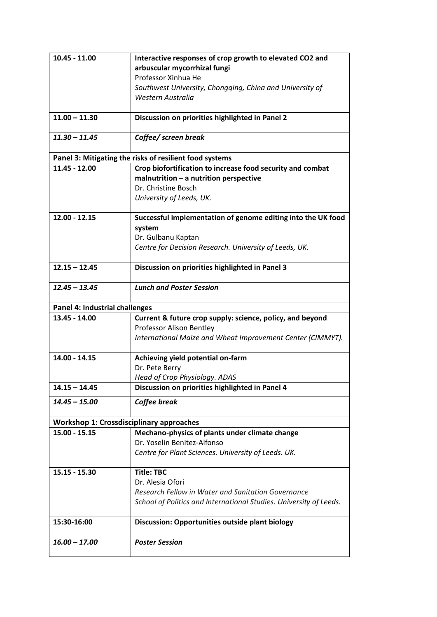| $10.45 - 11.00$                                         | Interactive responses of crop growth to elevated CO2 and               |  |
|---------------------------------------------------------|------------------------------------------------------------------------|--|
|                                                         | arbuscular mycorrhizal fungi                                           |  |
|                                                         | Professor Xinhua He                                                    |  |
|                                                         | Southwest University, Chongqing, China and University of               |  |
|                                                         | Western Australia                                                      |  |
|                                                         |                                                                        |  |
| $11.00 - 11.30$                                         | Discussion on priorities highlighted in Panel 2                        |  |
|                                                         |                                                                        |  |
| $11.30 - 11.45$                                         | Coffee/ screen break                                                   |  |
|                                                         |                                                                        |  |
| Panel 3: Mitigating the risks of resilient food systems |                                                                        |  |
| 11.45 - 12.00                                           | Crop biofortification to increase food security and combat             |  |
|                                                         | $m$ alnutrition - a nutrition perspective<br>Dr. Christine Bosch       |  |
|                                                         |                                                                        |  |
|                                                         | University of Leeds, UK.                                               |  |
| $12.00 - 12.15$                                         | Successful implementation of genome editing into the UK food           |  |
|                                                         | system                                                                 |  |
|                                                         | Dr. Gulbanu Kaptan                                                     |  |
|                                                         | Centre for Decision Research. University of Leeds, UK.                 |  |
|                                                         |                                                                        |  |
| $12.15 - 12.45$                                         | Discussion on priorities highlighted in Panel 3                        |  |
|                                                         |                                                                        |  |
| $12.45 - 13.45$                                         | <b>Lunch and Poster Session</b>                                        |  |
|                                                         |                                                                        |  |
| Panel 4: Industrial challenges                          |                                                                        |  |
|                                                         |                                                                        |  |
| 13.45 - 14.00                                           | Current & future crop supply: science, policy, and beyond              |  |
|                                                         | Professor Alison Bentley                                               |  |
|                                                         | International Maize and Wheat Improvement Center (CIMMYT).             |  |
|                                                         |                                                                        |  |
| 14.00 - 14.15                                           | Achieving yield potential on-farm                                      |  |
|                                                         | Dr. Pete Berry                                                         |  |
|                                                         | Head of Crop Physiology. ADAS                                          |  |
| $14.15 - 14.45$                                         | Discussion on priorities highlighted in Panel 4                        |  |
| $14.45 - 15.00$                                         | Coffee break                                                           |  |
|                                                         |                                                                        |  |
| <b>Workshop 1: Crossdisciplinary approaches</b>         |                                                                        |  |
| $15.00 - 15.15$                                         | Mechano-physics of plants under climate change                         |  |
|                                                         | Dr. Yoselin Benitez-Alfonso                                            |  |
|                                                         | Centre for Plant Sciences. University of Leeds. UK.                    |  |
|                                                         |                                                                        |  |
| $15.15 - 15.30$                                         | <b>Title: TBC</b>                                                      |  |
|                                                         | Dr. Alesia Ofori<br>Research Fellow in Water and Sanitation Governance |  |
|                                                         |                                                                        |  |
|                                                         | School of Politics and International Studies. University of Leeds.     |  |
| 15:30-16:00                                             | <b>Discussion: Opportunities outside plant biology</b>                 |  |
|                                                         |                                                                        |  |
| $16.00 - 17.00$                                         | <b>Poster Session</b>                                                  |  |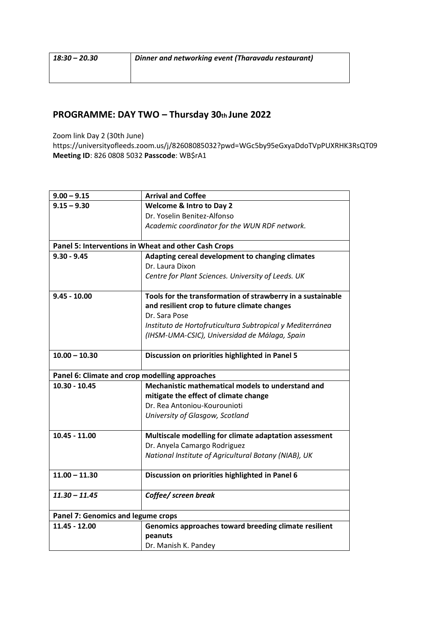## **PROGRAMME: DAY TWO – Thursday 30th June 2022**

Zoom link Day 2 (30th June)

https://universityofleeds.zoom.us/j/82608085032?pwd=WGc5by95eGxyaDdoTVpPUXRHK3RsQT09 **Meeting ID**: 826 0808 5032 **Passcode**: WB\$rA1

| $9.00 - 9.15$                                        | <b>Arrival and Coffee</b>                                   |  |
|------------------------------------------------------|-------------------------------------------------------------|--|
| $9.15 - 9.30$                                        | <b>Welcome &amp; Intro to Day 2</b>                         |  |
|                                                      | Dr. Yoselin Benitez-Alfonso                                 |  |
|                                                      | Academic coordinator for the WUN RDF network.               |  |
|                                                      |                                                             |  |
| Panel 5: Interventions in Wheat and other Cash Crops |                                                             |  |
| $9.30 - 9.45$                                        | Adapting cereal development to changing climates            |  |
|                                                      | Dr. Laura Dixon                                             |  |
|                                                      | Centre for Plant Sciences. University of Leeds. UK          |  |
| $9.45 - 10.00$                                       | Tools for the transformation of strawberry in a sustainable |  |
|                                                      | and resilient crop to future climate changes                |  |
|                                                      | Dr. Sara Pose                                               |  |
|                                                      | Instituto de Hortofruticultura Subtropical y Mediterránea   |  |
|                                                      | (IHSM-UMA-CSIC), Universidad de Málaga, Spain               |  |
| $10.00 - 10.30$                                      | Discussion on priorities highlighted in Panel 5             |  |
|                                                      |                                                             |  |
| Panel 6: Climate and crop modelling approaches       |                                                             |  |
|                                                      |                                                             |  |
| $10.30 - 10.45$                                      | Mechanistic mathematical models to understand and           |  |
|                                                      | mitigate the effect of climate change                       |  |
|                                                      | Dr. Rea Antoniou-Kourounioti                                |  |
|                                                      | University of Glasgow, Scotland                             |  |
| $10.45 - 11.00$                                      | Multiscale modelling for climate adaptation assessment      |  |
|                                                      | Dr. Anyela Camargo Rodriguez                                |  |
|                                                      | National Institute of Agricultural Botany (NIAB), UK        |  |
| $11.00 - 11.30$                                      | Discussion on priorities highlighted in Panel 6             |  |
|                                                      |                                                             |  |
| $11.30 - 11.45$                                      | Coffee/ screen break                                        |  |
| <b>Panel 7: Genomics and legume crops</b>            |                                                             |  |
| $11.45 - 12.00$                                      | Genomics approaches toward breeding climate resilient       |  |
|                                                      | peanuts<br>Dr. Manish K. Pandey                             |  |